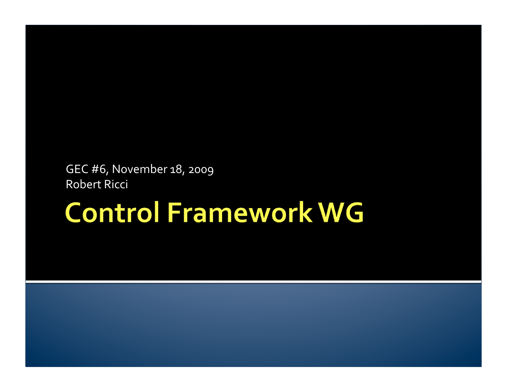#### GEC
#6,
November
18,
2009 Robert
Ricci

# **Control Framework WG**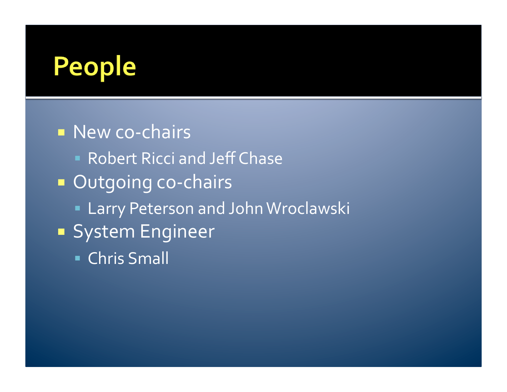# People

■ New co-chairs **Robert Ricci and Jeff Chase** ■ Outgoing co-chairs **ELArry Peterson and John Wroclawski System Engineer** Chris
Small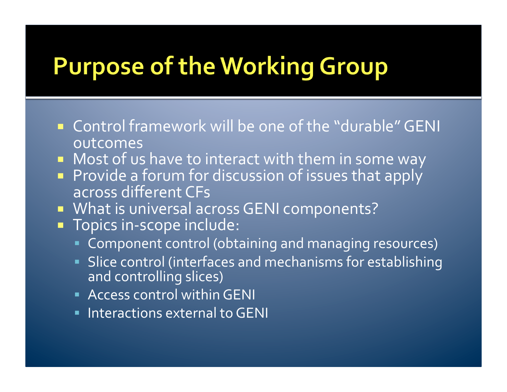## **Purpose of the Working Group**

- Control framework will be one of the "durable" GENI outcomes
- **Nost of us have to interact with them in some way**
- **Provide a forum for discussion of issues that apply** across
different
CFs
- **NATE IS UNIVERSAL ACROSS GENI components?**
- Topics in-scope include:
	- **Component control (obtaining and managing resources)**
	- Slice
	control
	(interfaces
	and
	mechanisms
	for
	establishing and
	controlling
	slices)
	- **Access control within GENI**
	- **Interactions external to GENI**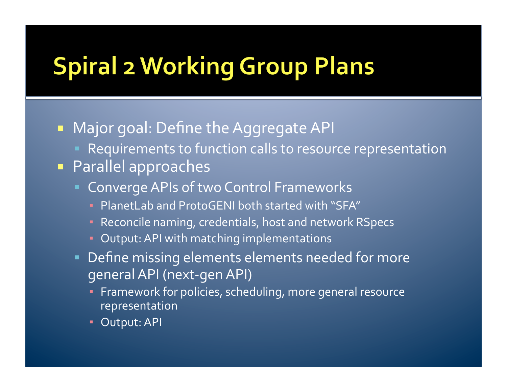# **Spiral 2 Working Group Plans**

- **Najor goal: Define the Aggregate API** 
	- Requirements to function calls to resource representation
- Parallel
approaches
	- **Converge APIs of two Control Frameworks** 
		- **PlanetLab and ProtoGENI both started with "SFA"**
		- Reconcile
		naming,
		credentials,
		host
		and
		network
		RSpecs
		- **E** Output: API with matching implementations
	- Define
	missing
	elements
	elements
	needed
	for
	more general
	API
	(next‐gen
	API)
		- **Framework for policies, scheduling, more general resource** representation
		- **Output: API**